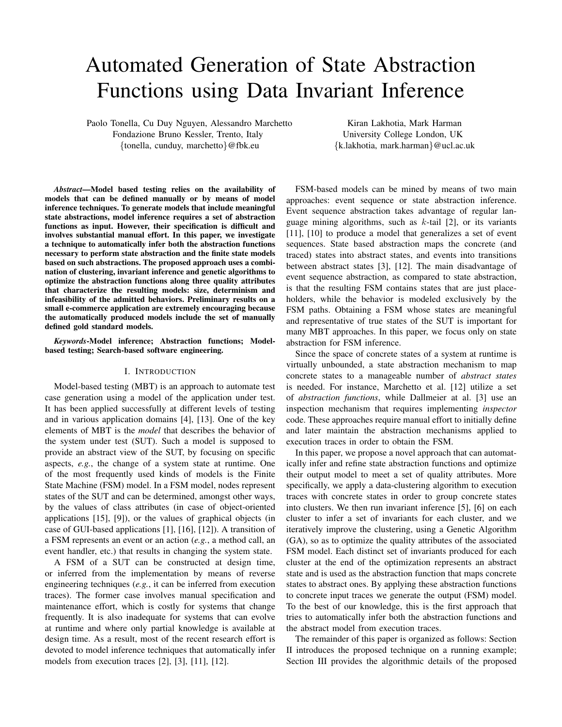# Automated Generation of State Abstraction Functions using Data Invariant Inference

Paolo Tonella, Cu Duy Nguyen, Alessandro Marchetto Fondazione Bruno Kessler, Trento, Italy {tonella, cunduy, marchetto}@fbk.eu

Kiran Lakhotia, Mark Harman University College London, UK {k.lakhotia, mark.harman}@ucl.ac.uk

*Abstract*—Model based testing relies on the availability of models that can be defined manually or by means of model inference techniques. To generate models that include meaningful state abstractions, model inference requires a set of abstraction functions as input. However, their specification is difficult and involves substantial manual effort. In this paper, we investigate a technique to automatically infer both the abstraction functions necessary to perform state abstraction and the finite state models based on such abstractions. The proposed approach uses a combination of clustering, invariant inference and genetic algorithms to optimize the abstraction functions along three quality attributes that characterize the resulting models: size, determinism and infeasibility of the admitted behaviors. Preliminary results on a small e-commerce application are extremely encouraging because the automatically produced models include the set of manually defined gold standard models.

*Keywords*-Model inference; Abstraction functions; Modelbased testing; Search-based software engineering.

#### I. INTRODUCTION

Model-based testing (MBT) is an approach to automate test case generation using a model of the application under test. It has been applied successfully at different levels of testing and in various application domains [4], [13]. One of the key elements of MBT is the *model* that describes the behavior of the system under test (SUT). Such a model is supposed to provide an abstract view of the SUT, by focusing on specific aspects, *e.g.*, the change of a system state at runtime. One of the most frequently used kinds of models is the Finite State Machine (FSM) model. In a FSM model, nodes represent states of the SUT and can be determined, amongst other ways, by the values of class attributes (in case of object-oriented applications [15], [9]), or the values of graphical objects (in case of GUI-based applications [1], [16], [12]). A transition of a FSM represents an event or an action (*e.g.*, a method call, an event handler, etc.) that results in changing the system state.

A FSM of a SUT can be constructed at design time, or inferred from the implementation by means of reverse engineering techniques (*e.g.*, it can be inferred from execution traces). The former case involves manual specification and maintenance effort, which is costly for systems that change frequently. It is also inadequate for systems that can evolve at runtime and where only partial knowledge is available at design time. As a result, most of the recent research effort is devoted to model inference techniques that automatically infer models from execution traces [2], [3], [11], [12].

FSM-based models can be mined by means of two main approaches: event sequence or state abstraction inference. Event sequence abstraction takes advantage of regular language mining algorithms, such as  $k$ -tail [2], or its variants [11], [10] to produce a model that generalizes a set of event sequences. State based abstraction maps the concrete (and traced) states into abstract states, and events into transitions between abstract states [3], [12]. The main disadvantage of event sequence abstraction, as compared to state abstraction, is that the resulting FSM contains states that are just placeholders, while the behavior is modeled exclusively by the FSM paths. Obtaining a FSM whose states are meaningful and representative of true states of the SUT is important for many MBT approaches. In this paper, we focus only on state abstraction for FSM inference.

Since the space of concrete states of a system at runtime is virtually unbounded, a state abstraction mechanism to map concrete states to a manageable number of *abstract states* is needed. For instance, Marchetto et al. [12] utilize a set of *abstraction functions*, while Dallmeier at al. [3] use an inspection mechanism that requires implementing *inspector* code. These approaches require manual effort to initially define and later maintain the abstraction mechanisms applied to execution traces in order to obtain the FSM.

In this paper, we propose a novel approach that can automatically infer and refine state abstraction functions and optimize their output model to meet a set of quality attributes. More specifically, we apply a data-clustering algorithm to execution traces with concrete states in order to group concrete states into clusters. We then run invariant inference [5], [6] on each cluster to infer a set of invariants for each cluster, and we iteratively improve the clustering, using a Genetic Algorithm (GA), so as to optimize the quality attributes of the associated FSM model. Each distinct set of invariants produced for each cluster at the end of the optimization represents an abstract state and is used as the abstraction function that maps concrete states to abstract ones. By applying these abstraction functions to concrete input traces we generate the output (FSM) model. To the best of our knowledge, this is the first approach that tries to automatically infer both the abstraction functions and the abstract model from execution traces.

The remainder of this paper is organized as follows: Section II introduces the proposed technique on a running example; Section III provides the algorithmic details of the proposed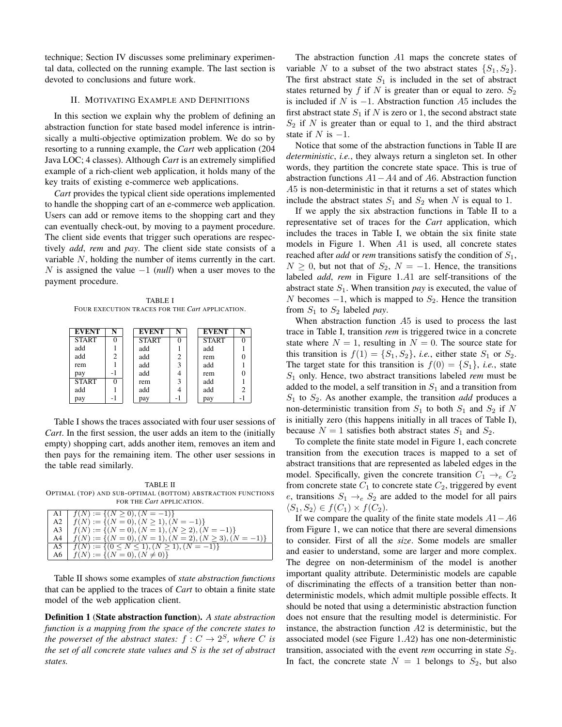technique; Section IV discusses some preliminary experimental data, collected on the running example. The last section is devoted to conclusions and future work.

# II. MOTIVATING EXAMPLE AND DEFINITIONS

In this section we explain why the problem of defining an abstraction function for state based model inference is intrinsically a multi-objective optimization problem. We do so by resorting to a running example, the *Cart* web application (204 Java LOC; 4 classes). Although *Cart* is an extremely simplified example of a rich-client web application, it holds many of the key traits of existing e-commerce web applications.

*Cart* provides the typical client side operations implemented to handle the shopping cart of an e-commerce web application. Users can add or remove items to the shopping cart and they can eventually check-out, by moving to a payment procedure. The client side events that trigger such operations are respectively *add*, *rem* and *pay*. The client side state consists of a variable N, holding the number of items currently in the cart. N is assigned the value −1 (*null*) when a user moves to the payment procedure.

TABLE I FOUR EXECUTION TRACES FOR THE *Cart* APPLICATION.

| <b>EVENT</b> | N              | <b>EVENT</b> |     | <b>EVENT</b> |                |
|--------------|----------------|--------------|-----|--------------|----------------|
| <b>START</b> |                | <b>START</b> |     | <b>START</b> |                |
| add          |                | add          |     | add          |                |
| add          | $\mathfrak{D}$ | add          | 2   | rem          |                |
| rem          |                | add          | 3   | add          |                |
| pay          | -1             | add          |     | rem          |                |
| <b>START</b> |                | rem          | 3   | add          |                |
| add          |                | add          |     | add          | $\mathfrak{D}$ |
| pay          | -1             | pay          | - 1 | pay          |                |

Table I shows the traces associated with four user sessions of *Cart*. In the first session, the user adds an item to the (initially empty) shopping cart, adds another item, removes an item and then pays for the remaining item. The other user sessions in the table read similarly.

TABLE II OPTIMAL (TOP) AND SUB-OPTIMAL (BOTTOM) ABSTRACTION FUNCTIONS FOR THE *Cart* APPLICATION.

|    | A1 $f(N) := \{(N \ge 0), (N = -1)\}\$                         |
|----|---------------------------------------------------------------|
| A2 | $f(N) := \{(N = 0), (N \ge 1), (N = -1)\}\$                   |
| A3 | $f(N) := \{(N = 0), (N = 1), (N \ge 2), (N = -1)\}\$          |
| A4 | $f(N) := \{(N = 0), (N = 1), (N = 2), (N \ge 3), (N = -1)\}\$ |
|    | A5   $f(N) := \{(0 \le N \le 1), (N \ge 1), (N = -1)\}\$      |
| A6 | $f(N) := \{(N = 0), (N \neq 0)\}\$                            |

Table II shows some examples of *state abstraction functions* that can be applied to the traces of *Cart* to obtain a finite state model of the web application client.

Definition 1 (State abstraction function). *A state abstraction function is a mapping from the space of the concrete states to the powerset of the abstract states:*  $f: C \rightarrow 2^S$ , where C is *the set of all concrete state values and* S *is the set of abstract states.*

The abstraction function A1 maps the concrete states of variable N to a subset of the two abstract states  $\{S_1, S_2\}$ . The first abstract state  $S_1$  is included in the set of abstract states returned by  $f$  if  $N$  is greater than or equal to zero.  $S_2$ is included if  $N$  is  $-1$ . Abstraction function A5 includes the first abstract state  $S_1$  if N is zero or 1, the second abstract state  $S_2$  if N is greater than or equal to 1, and the third abstract state if  $N$  is  $-1$ .

Notice that some of the abstraction functions in Table II are *deterministic*, *i.e.*, they always return a singleton set. In other words, they partition the concrete state space. This is true of abstraction functions A1−A4 and of A6. Abstraction function A5 is non-deterministic in that it returns a set of states which include the abstract states  $S_1$  and  $S_2$  when N is equal to 1.

If we apply the six abstraction functions in Table II to a representative set of traces for the *Cart* application, which includes the traces in Table I, we obtain the six finite state models in Figure 1. When A1 is used, all concrete states reached after *add* or *rem* transitions satisfy the condition of  $S_1$ ,  $N \geq 0$ , but not that of  $S_2$ ,  $N = -1$ . Hence, the transitions labeled *add*, *rem* in Figure 1.A1 are self-transitions of the abstract state  $S_1$ . When transition *pay* is executed, the value of N becomes  $-1$ , which is mapped to  $S_2$ . Hence the transition from  $S_1$  to  $S_2$  labeled *pay*.

When abstraction function A5 is used to process the last trace in Table I, transition *rem* is triggered twice in a concrete state where  $N = 1$ , resulting in  $N = 0$ . The source state for this transition is  $f(1) = \{S_1, S_2\}$ , *i.e.*, either state  $S_1$  or  $S_2$ . The target state for this transition is  $f(0) = \{S_1\}$ , *i.e.*, state S<sup>1</sup> only. Hence, two abstract transitions labeled *rem* must be added to the model, a self transition in  $S_1$  and a transition from  $S_1$  to  $S_2$ . As another example, the transition *add* produces a non-deterministic transition from  $S_1$  to both  $S_1$  and  $S_2$  if N is initially zero (this happens initially in all traces of Table I), because  $N = 1$  satisfies both abstract states  $S_1$  and  $S_2$ .

To complete the finite state model in Figure 1, each concrete transition from the execution traces is mapped to a set of abstract transitions that are represented as labeled edges in the model. Specifically, given the concrete transition  $C_1 \rightarrow_e C_2$ from concrete state  $C_1$  to concrete state  $C_2$ , triggered by event e, transitions  $S_1 \rightarrow_e S_2$  are added to the model for all pairs  $\langle S_1, S_2 \rangle \in f(C_1) \times f(C_2).$ 

If we compare the quality of the finite state models  $A1-A6$ from Figure 1, we can notice that there are several dimensions to consider. First of all the *size*. Some models are smaller and easier to understand, some are larger and more complex. The degree on non-determinism of the model is another important quality attribute. Deterministic models are capable of discriminating the effects of a transition better than nondeterministic models, which admit multiple possible effects. It should be noted that using a deterministic abstraction function does not ensure that the resulting model is deterministic. For instance, the abstraction function A2 is deterministic, but the associated model (see Figure 1.A2) has one non-deterministic transition, associated with the event *rem* occurring in state  $S_2$ . In fact, the concrete state  $N = 1$  belongs to  $S_2$ , but also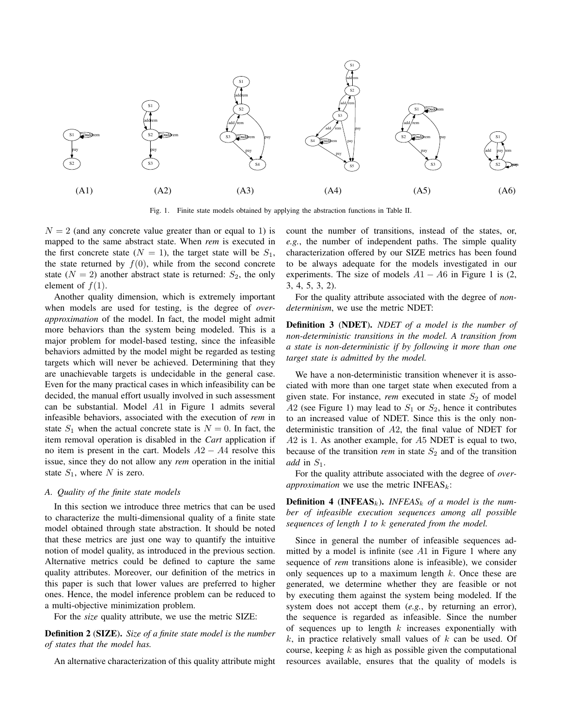

Fig. 1. Finite state models obtained by applying the abstraction functions in Table II.

 $N = 2$  (and any concrete value greater than or equal to 1) is mapped to the same abstract state. When *rem* is executed in the first concrete state  $(N = 1)$ , the target state will be  $S_1$ , the state returned by  $f(0)$ , while from the second concrete state  $(N = 2)$  another abstract state is returned:  $S_2$ , the only element of  $f(1)$ .

Another quality dimension, which is extremely important when models are used for testing, is the degree of *overapproximation* of the model. In fact, the model might admit more behaviors than the system being modeled. This is a major problem for model-based testing, since the infeasible behaviors admitted by the model might be regarded as testing targets which will never be achieved. Determining that they are unachievable targets is undecidable in the general case. Even for the many practical cases in which infeasibility can be decided, the manual effort usually involved in such assessment can be substantial. Model A1 in Figure 1 admits several infeasible behaviors, associated with the execution of *rem* in state  $S_1$  when the actual concrete state is  $N = 0$ . In fact, the item removal operation is disabled in the *Cart* application if no item is present in the cart. Models  $A2 - A4$  resolve this issue, since they do not allow any *rem* operation in the initial state  $S_1$ , where N is zero.

# *A. Quality of the finite state models*

In this section we introduce three metrics that can be used to characterize the multi-dimensional quality of a finite state model obtained through state abstraction. It should be noted that these metrics are just one way to quantify the intuitive notion of model quality, as introduced in the previous section. Alternative metrics could be defined to capture the same quality attributes. Moreover, our definition of the metrics in this paper is such that lower values are preferred to higher ones. Hence, the model inference problem can be reduced to a multi-objective minimization problem.

For the *size* quality attribute, we use the metric SIZE:

Definition 2 (SIZE). *Size of a finite state model is the number of states that the model has.*

An alternative characterization of this quality attribute might

count the number of transitions, instead of the states, or, *e.g.*, the number of independent paths. The simple quality characterization offered by our SIZE metrics has been found to be always adequate for the models investigated in our experiments. The size of models  $A1 - A6$  in Figure 1 is (2, 3, 4, 5, 3, 2).

For the quality attribute associated with the degree of *nondeterminism*, we use the metric NDET:

Definition 3 (NDET). *NDET of a model is the number of non-deterministic transitions in the model. A transition from a state is non-deterministic if by following it more than one target state is admitted by the model.*

We have a non-deterministic transition whenever it is associated with more than one target state when executed from a given state. For instance, *rem* executed in state  $S_2$  of model A2 (see Figure 1) may lead to  $S_1$  or  $S_2$ , hence it contributes to an increased value of NDET. Since this is the only nondeterministic transition of A2, the final value of NDET for A2 is 1. As another example, for A5 NDET is equal to two, because of the transition *rem* in state  $S_2$  and of the transition *add* in  $S_1$ .

For the quality attribute associated with the degree of *overapproximation* we use the metric INFEAS<sub>k</sub>:

**Definition 4** (INFEAS<sub>k</sub>). *INFEAS<sub>k</sub> of a model is the number of infeasible execution sequences among all possible sequences of length 1 to* k *generated from the model.*

Since in general the number of infeasible sequences admitted by a model is infinite (see A1 in Figure 1 where any sequence of *rem* transitions alone is infeasible), we consider only sequences up to a maximum length  $k$ . Once these are generated, we determine whether they are feasible or not by executing them against the system being modeled. If the system does not accept them (*e.g.*, by returning an error), the sequence is regarded as infeasible. Since the number of sequences up to length  $k$  increases exponentially with k, in practice relatively small values of  $k$  can be used. Of course, keeping  $k$  as high as possible given the computational resources available, ensures that the quality of models is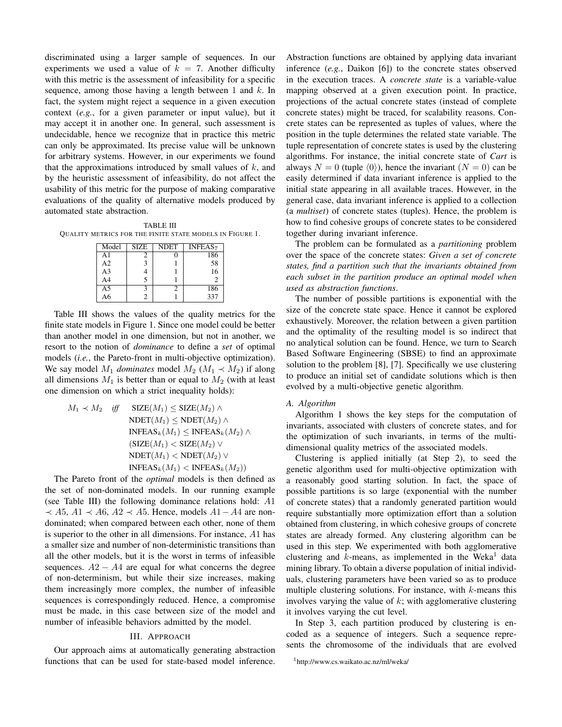discriminated using a larger sample of sequences. In our experiments we used a value of  $k = 7$ . Another difficulty with this metric is the assessment of infeasibility for a specific sequence, among those having a length between 1 and  $k$ . In fact, the system might reject a sequence in a given execution context (*e.g.*, for a given parameter or input value), but it may accept it in another one. In general, such assessment is undecidable, hence we recognize that in practice this metric can only be approximated. Its precise value will be unknown for arbitrary systems. However, in our experiments we found that the approximations introduced by small values of  $k$ , and by the heuristic assessment of infeasibility, do not affect the usability of this metric for the purpose of making comparative evaluations of the quality of alternative models produced by automated state abstraction.

TABLE III QUALITY METRICS FOR THE FINITE STATE MODELS IN FIGURE 1.

| Model          | <b>SIZE</b> | <b>NDET</b> | INFEAS <sub>7</sub> |
|----------------|-------------|-------------|---------------------|
| A <sub>1</sub> | 2           |             | 186                 |
| A2             |             |             | 58                  |
| A <sub>3</sub> |             |             | 16                  |
| A4             |             |             |                     |
| A5             |             |             | 186                 |
| A6             |             |             | 337                 |

Table III shows the values of the quality metrics for the finite state models in Figure 1. Since one model could be better than another model in one dimension, but not in another, we resort to the notion of *dominance* to define a *set* of optimal models (*i.e.*, the Pareto-front in multi-objective optimization). We say model  $M_1$  *dominates* model  $M_2$  ( $M_1 \prec M_2$ ) if along all dimensions  $M_1$  is better than or equal to  $M_2$  (with at least one dimension on which a strict inequality holds):

$$
M_1 \prec M_2 \quad \text{iff} \quad \text{SIZE}(M_1) \le \text{SIZE}(M_2) \land
$$
  
\n
$$
\text{NDET}(M_1) \le \text{NDET}(M_2) \land
$$
  
\n
$$
\text{INFEAS}_k(M_1) \le \text{INFEAS}_k(M_2) \land
$$
  
\n
$$
\text{(SIZE}(M_1) < \text{SIZE}(M_2) \lor
$$
  
\n
$$
\text{NDET}(M_1) < \text{NDET}(M_2) \lor
$$
  
\n
$$
\text{INFEAS}_k(M_1) < \text{INFEAS}_k(M_2))
$$

The Pareto front of the *optimal* models is then defined as the set of non-dominated models. In our running example (see Table III) the following dominance relations hold: A1  $\prec$  A5, A1  $\prec$  A6, A2  $\prec$  A5. Hence, models A1 – A4 are nondominated; when compared between each other, none of them is superior to the other in all dimensions. For instance, A1 has a smaller size and number of non-deterministic transitions than all the other models, but it is the worst in terms of infeasible sequences.  $A2 - A4$  are equal for what concerns the degree of non-determinism, but while their size increases, making them increasingly more complex, the number of infeasible sequences is correspondingly reduced. Hence, a compromise must be made, in this case between size of the model and number of infeasible behaviors admitted by the model.

## III. APPROACH

Our approach aims at automatically generating abstraction functions that can be used for state-based model inference. Abstraction functions are obtained by applying data invariant inference (*e.g.*, Daikon [6]) to the concrete states observed in the execution traces. A *concrete state* is a variable-value mapping observed at a given execution point. In practice, projections of the actual concrete states (instead of complete concrete states) might be traced, for scalability reasons. Concrete states can be represented as tuples of values, where the position in the tuple determines the related state variable. The tuple representation of concrete states is used by the clustering algorithms. For instance, the initial concrete state of *Cart* is always  $N = 0$  (tuple  $\langle 0 \rangle$ ), hence the invariant  $(N = 0)$  can be easily determined if data invariant inference is applied to the initial state appearing in all available traces. However, in the general case, data invariant inference is applied to a collection (a *multiset*) of concrete states (tuples). Hence, the problem is how to find cohesive groups of concrete states to be considered together during invariant inference.

The problem can be formulated as a *partitioning* problem over the space of the concrete states: *Given a set of concrete states, find a partition such that the invariants obtained from each subset in the partition produce an optimal model when used as abstraction functions*.

The number of possible partitions is exponential with the size of the concrete state space. Hence it cannot be explored exhaustively. Moreover, the relation between a given partition and the optimality of the resulting model is so indirect that no analytical solution can be found. Hence, we turn to Search Based Software Engineering (SBSE) to find an approximate solution to the problem [8], [7]. Specifically we use clustering to produce an initial set of candidate solutions which is then evolved by a multi-objective genetic algorithm.

#### *A. Algorithm*

Algorithm 1 shows the key steps for the computation of invariants, associated with clusters of concrete states, and for the optimization of such invariants, in terms of the multidimensional quality metrics of the associated models.

Clustering is applied initially (at Step 2), to seed the genetic algorithm used for multi-objective optimization with a reasonably good starting solution. In fact, the space of possible partitions is so large (exponential with the number of concrete states) that a randomly generated partition would require substantially more optimization effort than a solution obtained from clustering, in which cohesive groups of concrete states are already formed. Any clustering algorithm can be used in this step. We experimented with both agglomerative clustering and  $k$ -means, as implemented in the Weka<sup>1</sup> data mining library. To obtain a diverse population of initial individuals, clustering parameters have been varied so as to produce multiple clustering solutions. For instance, with  $k$ -means this involves varying the value of  $k$ ; with agglomerative clustering it involves varying the cut level.

In Step 3, each partition produced by clustering is encoded as a sequence of integers. Such a sequence represents the chromosome of the individuals that are evolved

<sup>1</sup>http://www.cs.waikato.ac.nz/ml/weka/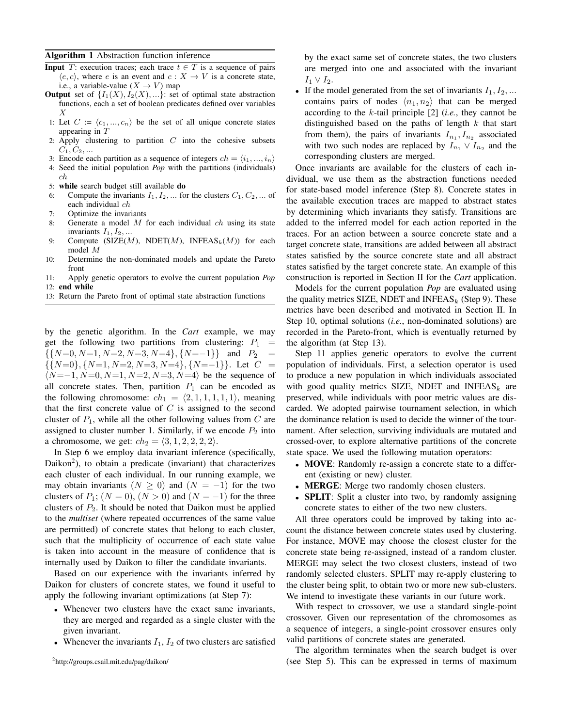## Algorithm 1 Abstraction function inference

- **Input** T: execution traces; each trace  $t \in T$  is a sequence of pairs  $\langle e, c \rangle$ , where e is an event and  $c : X \to V$  is a concrete state, i.e., a variable-value  $(X \to V)$  map
- **Output** set of  $\{I_1(X), I_2(X), ...\}$ : set of optimal state abstraction functions, each a set of boolean predicates defined over variables  $\boldsymbol{X}$
- 1: Let  $C := \langle c_1, ..., c_n \rangle$  be the set of all unique concrete states appearing in T
- 2: Apply clustering to partition  $C$  into the cohesive subsets  $C_1, C_2, ...$
- 3: Encode each partition as a sequence of integers  $ch = \langle i_1, ..., i_n \rangle$
- 4: Seed the initial population *Pop* with the partitions (individuals) ch
- 5: while search budget still available do
- 6: Compute the invariants  $I_1, I_2, \dots$  for the clusters  $C_1, C_2, \dots$  of each individual ch
- 7: Optimize the invariants
- 8: Generate a model  $M$  for each individual  $ch$  using its state invariants  $I_1, I_2, \ldots$
- 9: Compute (SIZE(M), NDET(M), INFEAS<sub>k</sub>(M)) for each model M
- 10: Determine the non-dominated models and update the Pareto front
- 11: Apply genetic operators to evolve the current population *Pop* 12: end while
- 13: Return the Pareto front of optimal state abstraction functions

by the genetic algorithm. In the *Cart* example, we may get the following two partitions from clustering:  $P_1$  =  $\{\{N=0, N=1, N=2, N=3, N=4\}, \{N=-1\}\}\$  and  $P_2 =$  $\{\{N=0\}, \{N=1, N=2, N=3, N=4\}, \{N=-1\}\}\$ . Let  $C =$  $\langle N=-1, N=0, N=1, N=2, N=3, N=4 \rangle$  be the sequence of all concrete states. Then, partition  $P_1$  can be encoded as the following chromosome:  $ch_1 = \langle 2, 1, 1, 1, 1, 1 \rangle$ , meaning that the first concrete value of  $C$  is assigned to the second cluster of  $P_1$ , while all the other following values from  $C$  are assigned to cluster number 1. Similarly, if we encode  $P_2$  into a chromosome, we get:  $ch_2 = \langle 3, 1, 2, 2, 2, 2 \rangle$ .

In Step 6 we employ data invariant inference (specifically, Daikon<sup>2</sup>), to obtain a predicate (invariant) that characterizes each cluster of each individual. In our running example, we may obtain invariants ( $N \geq 0$ ) and  $(N = -1)$  for the two clusters of  $P_1$ ;  $(N = 0)$ ,  $(N > 0)$  and  $(N = -1)$  for the three clusters of  $P_2$ . It should be noted that Daikon must be applied to the *multiset* (where repeated occurrences of the same value are permitted) of concrete states that belong to each cluster, such that the multiplicity of occurrence of each state value is taken into account in the measure of confidence that is internally used by Daikon to filter the candidate invariants.

Based on our experience with the invariants inferred by Daikon for clusters of concrete states, we found it useful to apply the following invariant optimizations (at Step 7):

- Whenever two clusters have the exact same invariants, they are merged and regarded as a single cluster with the given invariant.
- Whenever the invariants  $I_1$ ,  $I_2$  of two clusters are satisfied

<sup>2</sup>http://groups.csail.mit.edu/pag/daikon/

by the exact same set of concrete states, the two clusters are merged into one and associated with the invariant  $I_1 \vee I_2$ .

• If the model generated from the set of invariants  $I_1, I_2, \dots$ contains pairs of nodes  $\langle n_1, n_2 \rangle$  that can be merged according to the k-tail principle [2] (*i.e.*, they cannot be distinguished based on the paths of length  $k$  that start from them), the pairs of invariants  $I_{n_1}, I_{n_2}$  associated with two such nodes are replaced by  $I_{n_1} \vee I_{n_2}$  and the corresponding clusters are merged.

Once invariants are available for the clusters of each individual, we use them as the abstraction functions needed for state-based model inference (Step 8). Concrete states in the available execution traces are mapped to abstract states by determining which invariants they satisfy. Transitions are added to the inferred model for each action reported in the traces. For an action between a source concrete state and a target concrete state, transitions are added between all abstract states satisfied by the source concrete state and all abstract states satisfied by the target concrete state. An example of this construction is reported in Section II for the *Cart* application.

Models for the current population *Pop* are evaluated using the quality metrics SIZE, NDET and INFEAS<sub>k</sub> (Step 9). These metrics have been described and motivated in Section II. In Step 10, optimal solutions (*i.e.*, non-dominated solutions) are recorded in the Pareto-front, which is eventually returned by the algorithm (at Step 13).

Step 11 applies genetic operators to evolve the current population of individuals. First, a selection operator is used to produce a new population in which individuals associated with good quality metrics SIZE, NDET and INFEAS<sub>k</sub> are preserved, while individuals with poor metric values are discarded. We adopted pairwise tournament selection, in which the dominance relation is used to decide the winner of the tournament. After selection, surviving individuals are mutated and crossed-over, to explore alternative partitions of the concrete state space. We used the following mutation operators:

- MOVE: Randomly re-assign a concrete state to a different (existing or new) cluster.
- **MERGE**: Merge two randomly chosen clusters.
- **SPLIT**: Split a cluster into two, by randomly assigning concrete states to either of the two new clusters.

All three operators could be improved by taking into account the distance between concrete states used by clustering. For instance, MOVE may choose the closest cluster for the concrete state being re-assigned, instead of a random cluster. MERGE may select the two closest clusters, instead of two randomly selected clusters. SPLIT may re-apply clustering to the cluster being split, to obtain two or more new sub-clusters. We intend to investigate these variants in our future work.

With respect to crossover, we use a standard single-point crossover. Given our representation of the chromosomes as a sequence of integers, a single-point crossover ensures only valid partitions of concrete states are generated.

The algorithm terminates when the search budget is over (see Step 5). This can be expressed in terms of maximum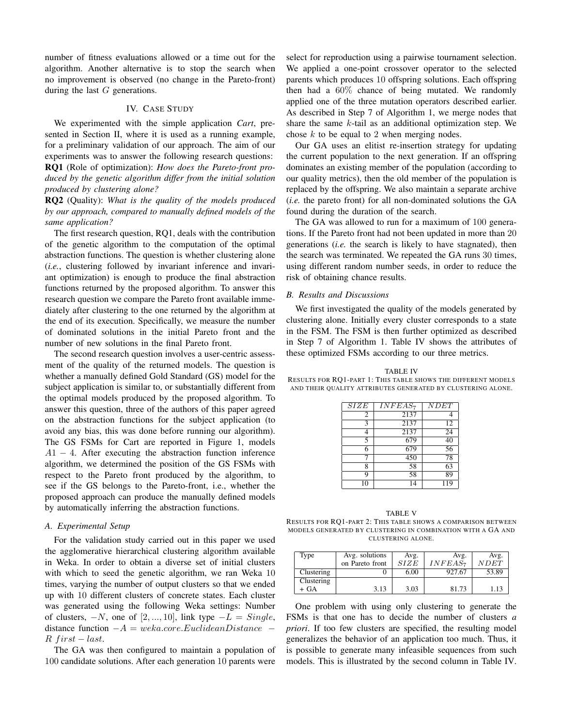number of fitness evaluations allowed or a time out for the algorithm. Another alternative is to stop the search when no improvement is observed (no change in the Pareto-front) during the last  $G$  generations.

### IV. CASE STUDY

We experimented with the simple application *Cart*, presented in Section II, where it is used as a running example, for a preliminary validation of our approach. The aim of our experiments was to answer the following research questions: RQ1 (Role of optimization): *How does the Pareto-front produced by the genetic algorithm differ from the initial solution produced by clustering alone?*

RQ2 (Quality): *What is the quality of the models produced by our approach, compared to manually defined models of the same application?*

The first research question, RQ1, deals with the contribution of the genetic algorithm to the computation of the optimal abstraction functions. The question is whether clustering alone (*i.e.*, clustering followed by invariant inference and invariant optimization) is enough to produce the final abstraction functions returned by the proposed algorithm. To answer this research question we compare the Pareto front available immediately after clustering to the one returned by the algorithm at the end of its execution. Specifically, we measure the number of dominated solutions in the initial Pareto front and the number of new solutions in the final Pareto front.

The second research question involves a user-centric assessment of the quality of the returned models. The question is whether a manually defined Gold Standard (GS) model for the subject application is similar to, or substantially different from the optimal models produced by the proposed algorithm. To answer this question, three of the authors of this paper agreed on the abstraction functions for the subject application (to avoid any bias, this was done before running our algorithm). The GS FSMs for Cart are reported in Figure 1, models  $A1 - 4$ . After executing the abstraction function inference algorithm, we determined the position of the GS FSMs with respect to the Pareto front produced by the algorithm, to see if the GS belongs to the Pareto-front, i.e., whether the proposed approach can produce the manually defined models by automatically inferring the abstraction functions.

## *A. Experimental Setup*

For the validation study carried out in this paper we used the agglomerative hierarchical clustering algorithm available in Weka. In order to obtain a diverse set of initial clusters with which to seed the genetic algorithm, we ran Weka 10 times, varying the number of output clusters so that we ended up with 10 different clusters of concrete states. Each cluster was generated using the following Weka settings: Number of clusters,  $-N$ , one of  $[2, ..., 10]$ , link type  $-L = Single$ , distance function  $-A = weka.core.Euclidean Distance$  –  $R$  first – last.

The GA was then configured to maintain a population of 100 candidate solutions. After each generation 10 parents were

select for reproduction using a pairwise tournament selection. We applied a one-point crossover operator to the selected parents which produces 10 offspring solutions. Each offspring then had a 60% chance of being mutated. We randomly applied one of the three mutation operators described earlier. As described in Step 7 of Algorithm 1, we merge nodes that share the same  $k$ -tail as an additional optimization step. We chose  $k$  to be equal to 2 when merging nodes.

Our GA uses an elitist re-insertion strategy for updating the current population to the next generation. If an offspring dominates an existing member of the population (according to our quality metrics), then the old member of the population is replaced by the offspring. We also maintain a separate archive (*i.e.* the pareto front) for all non-dominated solutions the GA found during the duration of the search.

The GA was allowed to run for a maximum of 100 generations. If the Pareto front had not been updated in more than 20 generations (*i.e.* the search is likely to have stagnated), then the search was terminated. We repeated the GA runs 30 times, using different random number seeds, in order to reduce the risk of obtaining chance results.

### *B. Results and Discussions*

We first investigated the quality of the models generated by clustering alone. Initially every cluster corresponds to a state in the FSM. The FSM is then further optimized as described in Step 7 of Algorithm 1. Table IV shows the attributes of these optimized FSMs according to our three metrics.

TABLE IV RESULTS FOR RQ1-PART 1: THIS TABLE SHOWS THE DIFFERENT MODELS AND THEIR QUALITY ATTRIBUTES GENERATED BY CLUSTERING ALONE.

| SIZE           | $\overline{INFEAS_7}$ | NDET |
|----------------|-----------------------|------|
| $\overline{c}$ | 2137                  |      |
| 3              | 2137                  | 12   |
| 4              | 2137                  | 24   |
| 5              | 679                   | 40   |
| 6              | 679                   | 56   |
|                | 450                   | 78   |
| 8              | 58                    | 63   |
| 9              | 58                    | 89   |
| 10             | 14                    | 119  |
|                |                       |      |

TABLE V RESULTS FOR RQ1-PART 2: THIS TABLE SHOWS A COMPARISON BETWEEN MODELS GENERATED BY CLUSTERING IN COMBINATION WITH A GA AND CLUSTERING ALONE.

| Type                 | Avg. solutions<br>on Pareto front | Avg.<br>SIZE | Avg.<br>INFEAS <sub>7</sub> | Avg.<br>NDET |
|----------------------|-----------------------------------|--------------|-----------------------------|--------------|
| Clustering           |                                   | 6.00         | 927.67                      | 53.89        |
| Clustering<br>$+ GA$ | 3.13                              | 3.03         | 81.73                       | 1.13         |

One problem with using only clustering to generate the FSMs is that one has to decide the number of clusters *a priori*. If too few clusters are specified, the resulting model generalizes the behavior of an application too much. Thus, it is possible to generate many infeasible sequences from such models. This is illustrated by the second column in Table IV.